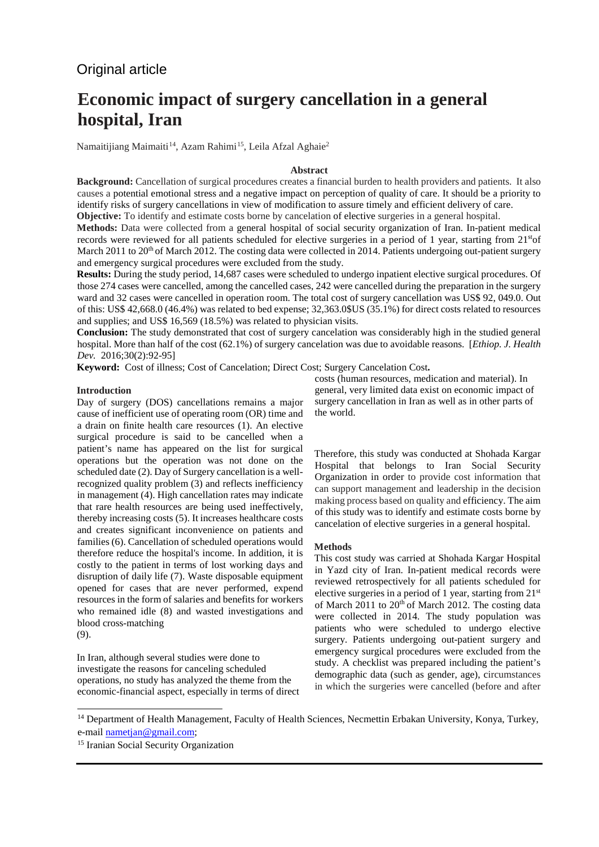# Original article

# **Economic impact of surgery cancellation in a general hospital, Iran**

Namaitijiang Maimaiti<sup>14</sup>, Azam Rahimi<sup>[15](#page-0-1)</sup>, Leila Afzal Aghaie<sup>2</sup>

# **Abstract**

**Background:** Cancellation of surgical procedures creates a financial burden to health providers and patients. It also causes a potential emotional stress and a negative impact on perception of quality of care. It should be a priority to identify risks of surgery cancellations in view of modification to assure timely and efficient delivery of care. **Objective:** To identify and estimate costs borne by cancelation of elective surgeries in a general hospital.

**Methods:** Data were collected from a general hospital of social security organization of Iran. In-patient medical records were reviewed for all patients scheduled for elective surgeries in a period of 1 year, starting from 21stof March 2011 to 20<sup>th</sup> of March 2012. The costing data were collected in 2014. Patients undergoing out-patient surgery

and emergency surgical procedures were excluded from the study. **Results:** During the study period, 14,687 cases were scheduled to undergo inpatient elective surgical procedures. Of those 274 cases were cancelled, among the cancelled cases, 242 were cancelled during the preparation in the surgery ward and 32 cases were cancelled in operation room. The total cost of surgery cancellation was US\$ 92, 049.0. Out of this: US\$ 42,668.0 (46.4%) was related to bed expense; 32,363.0\$US (35.1%) for direct costs related to resources

and supplies; and US\$ 16,569 (18.5%) was related to physician visits. **Conclusion:** The study demonstrated that cost of surgery cancelation was considerably high in the studied general hospital. More than half of the cost (62.1%) of surgery cancelation was due to avoidable reasons. [*Ethiop. J. Health Dev.* 2016;30(2):92-95]

**Keyword:** Cost of illness; Cost of Cancelation; Direct Cost; Surgery Cancelation Cost**.** 

# **Introduction**

Day of surgery (DOS) cancellations remains a major cause of inefficient use of operating room (OR) time and a drain on finite health care resources (1). An elective surgical procedure is said to be cancelled when a patient's name has appeared on the list for surgical operations but the operation was not done on the scheduled date (2). Day of Surgery cancellation is a wellrecognized quality problem (3) and reflects inefficiency in management (4). High cancellation rates may indicate that rare health resources are being used ineffectively, thereby increasing costs (5). It increases healthcare costs and creates significant inconvenience on patients and families (6). Cancellation of scheduled operations would therefore reduce the hospital's income. In addition, it is costly to the patient in terms of lost working days and disruption of daily life (7). Waste disposable equipment opened for cases that are never performed, expend resources in the form of salaries and benefits for workers who remained idle (8) and wasted investigations and blood cross-matching

(9).

 $\overline{a}$ 

In Iran, although several studies were done to investigate the reasons for canceling scheduled operations, no study has analyzed the theme from the economic-financial aspect, especially in terms of direct costs (human resources, medication and material). In general, very limited data exist on economic impact of surgery cancellation in Iran as well as in other parts of the world.

Therefore, this study was conducted at Shohada Kargar Hospital that belongs to Iran Social Security Organization in order to provide cost information that can support management and leadership in the decision making process based on quality and efficiency. The aim of this study was to identify and estimate costs borne by cancelation of elective surgeries in a general hospital.

#### **Methods**

This cost study was carried at Shohada Kargar Hospital in Yazd city of Iran. In-patient medical records were reviewed retrospectively for all patients scheduled for elective surgeries in a period of 1 year, starting from 21st of March 2011 to  $20<sup>th</sup>$  of March 2012. The costing data were collected in 2014. The study population was patients who were scheduled to undergo elective surgery. Patients undergoing out-patient surgery and emergency surgical procedures were excluded from the study. A checklist was prepared including the patient's demographic data (such as gender, age), circumstances in which the surgeries were cancelled (before and after

<span id="page-0-0"></span><sup>&</sup>lt;sup>14</sup> Department of Health Management, Faculty of Health Sciences, Necmettin Erbakan University, Konya, Turkey, e-mail nametjan@gmail.com;<br><sup>15</sup> Iranian Social Security Organization

<span id="page-0-1"></span>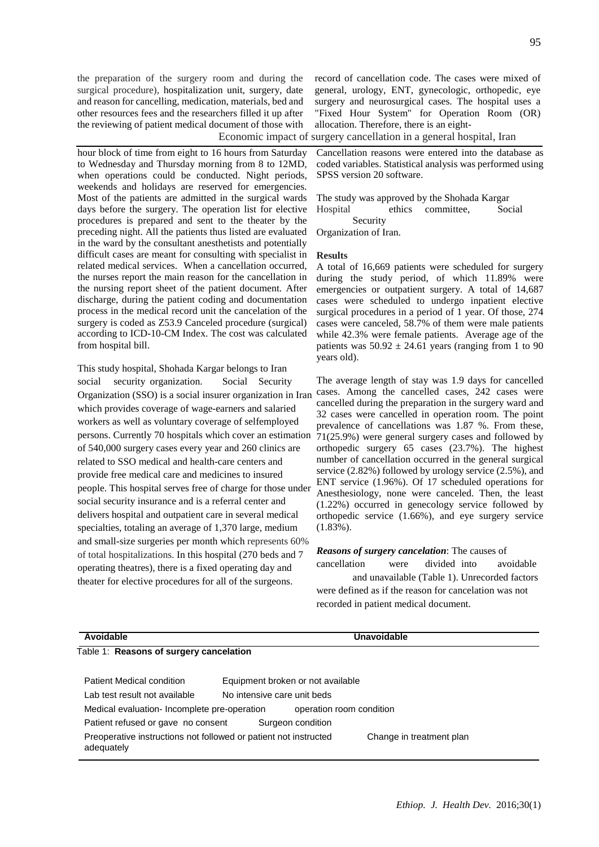the preparation of the surgery room and during the surgical procedure), hospitalization unit, surgery, date and reason for cancelling, medication, materials, bed and other resources fees and the researchers filled it up after the reviewing of patient medical document of those with

hour block of time from eight to 16 hours from Saturday to Wednesday and Thursday morning from 8 to 12MD, when operations could be conducted. Night periods, weekends and holidays are reserved for emergencies. Most of the patients are admitted in the surgical wards days before the surgery. The operation list for elective procedures is prepared and sent to the theater by the preceding night. All the patients thus listed are evaluated in the ward by the consultant anesthetists and potentially difficult cases are meant for consulting with specialist in related medical services. When a cancellation occurred, the nurses report the main reason for the cancellation in the nursing report sheet of the patient document. After discharge, during the patient coding and documentation process in the medical record unit the cancelation of the surgery is coded as Z53.9 Canceled procedure (surgical) according to ICD-10-CM Index. The cost was calculated from hospital bill.

This study hospital, Shohada Kargar belongs to Iran social security organization. Social Security Organization (SSO) is a social insurer organization in Iran which provides coverage of wage-earners and salaried workers as well as voluntary coverage of selfemployed persons. Currently 70 hospitals which cover an estimation 71(25.9%) were general surgery cases and followed by of 540,000 surgery cases every year and 260 clinics are related to SSO medical and health-care centers and provide free medical care and medicines to insured people. This hospital serves free of charge for those under social security insurance and is a referral center and delivers hospital and outpatient care in several medical specialties, totaling an average of 1,370 large, medium and small-size surgeries per month which represents 60% of total hospitalizations. In this hospital (270 beds and 7 operating theatres), there is a fixed operating day and theater for elective procedures for all of the surgeons.

record of cancellation code. The cases were mixed of general, urology, ENT, gynecologic, orthopedic, eye surgery and neurosurgical cases. The hospital uses a "Fixed Hour System" for Operation Room (OR) allocation. Therefore, there is an eight-

Economic impact of surgery cancellation in a general hospital, Iran

Cancellation reasons were entered into the database as coded variables. Statistical analysis was performed using SPSS version 20 software.

The study was approved by the Shohada Kargar Hospital ethics committee, Social Security

Organization of Iran.

#### **Results**

A total of 16,669 patients were scheduled for surgery during the study period, of which 11.89% were emergencies or outpatient surgery. A total of 14,687 cases were scheduled to undergo inpatient elective surgical procedures in a period of 1 year. Of those, 274 cases were canceled, 58.7% of them were male patients while 42.3% were female patients. Average age of the patients was  $50.92 \pm 24.61$  years (ranging from 1 to 90 years old).

The average length of stay was 1.9 days for cancelled cases. Among the cancelled cases, 242 cases were cancelled during the preparation in the surgery ward and 32 cases were cancelled in operation room. The point prevalence of cancellations was 1.87 %. From these, orthopedic surgery 65 cases (23.7%). The highest number of cancellation occurred in the general surgical service (2.82%) followed by urology service (2.5%), and ENT service (1.96%). Of 17 scheduled operations for Anesthesiology, none were canceled. Then, the least (1.22%) occurred in genecology service followed by orthopedic service (1.66%), and eye surgery service (1.83%).

### *Reasons of surgery cancelation*: The causes of

cancellation were divided into avoidable and unavailable (Table 1). Unrecorded factors were defined as if the reason for cancelation was not recorded in patient medical document.

| Avoidable                                    |                                                                  | Unavoidable              |
|----------------------------------------------|------------------------------------------------------------------|--------------------------|
| Table 1: Reasons of surgery cancelation      |                                                                  |                          |
| Patient Medical condition                    | Equipment broken or not available                                |                          |
| Lab test result not available                | No intensive care unit beds                                      |                          |
| Medical evaluation- Incomplete pre-operation | operation room condition                                         |                          |
| Patient refused or gave no consent           | Surgeon condition                                                |                          |
| adequately                                   | Preoperative instructions not followed or patient not instructed | Change in treatment plan |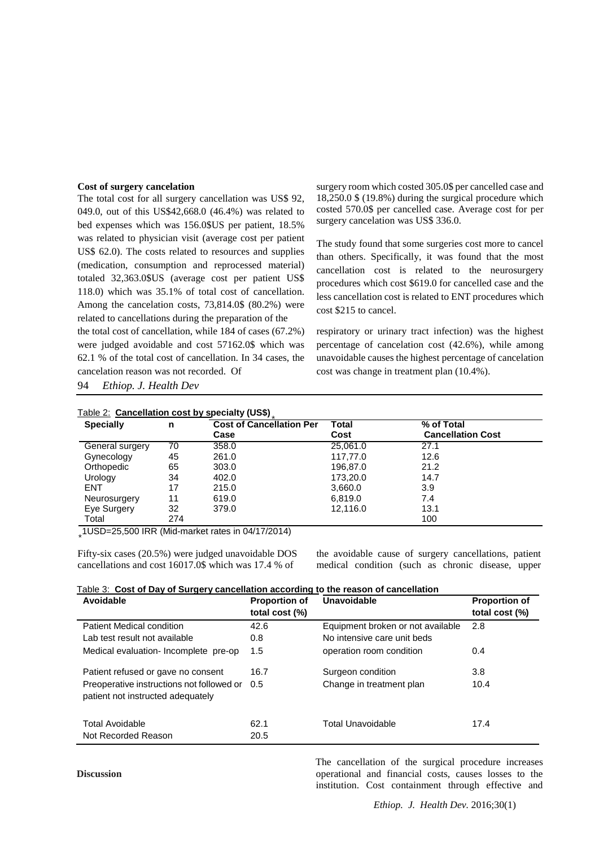#### **Cost of surgery cancelation**

The total cost for all surgery cancellation was US\$ 92, 049.0, out of this US\$42,668.0 (46.4%) was related to bed expenses which was 156.0\$US per patient, 18.5% was related to physician visit (average cost per patient US\$ 62.0). The costs related to resources and supplies (medication, consumption and reprocessed material) totaled 32,363.0\$US (average cost per patient US\$ 118.0) which was 35.1% of total cost of cancellation. Among the cancelation costs, 73,814.0\$ (80.2%) were related to cancellations during the preparation of the

the total cost of cancellation, while 184 of cases (67.2%) were judged avoidable and cost 57162.0\$ which was 62.1 % of the total cost of cancellation. In 34 cases, the cancelation reason was not recorded. Of

94 *Ethiop. J. Health Dev*

surgery room which costed 305.0\$ per cancelled case and 18,250.0 \$ (19.8%) during the surgical procedure which costed 570.0\$ per cancelled case. Average cost for per surgery cancelation was US\$ 336.0.

The study found that some surgeries cost more to cancel than others. Specifically, it was found that the most cancellation cost is related to the neurosurgery procedures which cost \$619.0 for cancelled case and the less cancellation cost is related to ENT procedures which cost \$215 to cancel.

respiratory or urinary tract infection) was the highest percentage of cancelation cost (42.6%), while among unavoidable causes the highest percentage of cancelation cost was change in treatment plan (10.4%).

| <b>Specially</b> | n   | <b>Cost of Cancellation Per</b> | Total    | % of Total               |
|------------------|-----|---------------------------------|----------|--------------------------|
|                  |     | Case                            | Cost     | <b>Cancellation Cost</b> |
| General surgery  | 70  | 358.0                           | 25.061.0 | 27.1                     |
| Gynecology       | 45  | 261.0                           | 117,77.0 | 12.6                     |
| Orthopedic       | 65  | 303.0                           | 196,87.0 | 21.2                     |
| Urology          | 34  | 402.0                           | 173,20.0 | 14.7                     |
| <b>ENT</b>       | 17  | 215.0                           | 3,660.0  | 3.9                      |
| Neurosurgery     | 11  | 619.0                           | 6.819.0  | 7.4                      |
| Eye Surgery      | 32  | 379.0                           | 12,116.0 | 13.1                     |
| Total            | 274 |                                 |          | 100                      |

∗ 1USD=25,500 IRR [\(Mid-market rates](http://www.xe.com/faq/rates_buyorsellrates.php) in 04/17/2014)

Fifty-six cases (20.5%) were judged unavoidable DOS cancellations and cost 16017.0\$ which was 17.4 % of

the avoidable cause of surgery cancellations, patient medical condition (such as chronic disease, upper

|  |  | Table 3: Cost of Day of Surgery cancellation according to the reason of cancellation |
|--|--|--------------------------------------------------------------------------------------|
|  |  |                                                                                      |

| <b>Proportion of</b><br>total cost (%) | <b>Unavoidable</b>                | <b>Proportion of</b><br>total cost (%) |
|----------------------------------------|-----------------------------------|----------------------------------------|
| 42.6                                   | Equipment broken or not available | 2.8                                    |
| 0.8                                    | No intensive care unit beds       |                                        |
| 1.5                                    | operation room condition          | 0.4                                    |
| 16.7                                   | Surgeon condition                 | 3.8                                    |
| 0.5                                    | Change in treatment plan          | 10.4                                   |
| 62.1                                   | <b>Total Unavoidable</b>          | 17.4                                   |
| 20.5                                   |                                   |                                        |
|                                        |                                   |                                        |

The cancellation of the surgical procedure increases operational and financial costs, causes losses to the institution. Cost containment through effective and

**Discussion**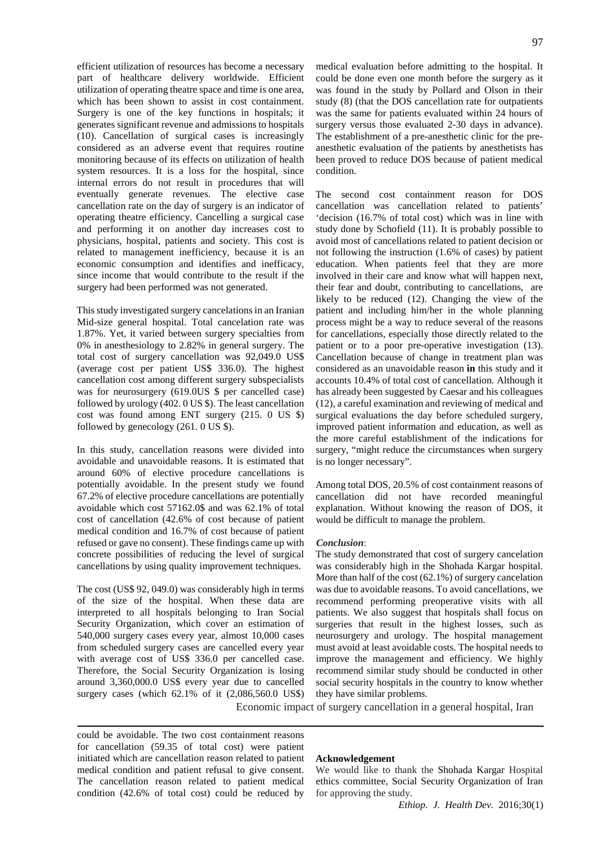efficient utilization of resources has become a necessary part of healthcare delivery worldwide. Efficient utilization of operating theatre space and time is one area, which has been shown to assist in cost containment. Surgery is one of the key functions in hospitals; it generates significant revenue and admissions to hospitals (10). Cancellation of surgical cases is increasingly considered as an adverse event that requires routine monitoring because of its effects on utilization of health system resources. It is a loss for the hospital, since internal errors do not result in procedures that will eventually generate revenues. The elective case cancellation rate on the day of surgery is an indicator of operating theatre efficiency. Cancelling a surgical case and performing it on another day increases cost to physicians, hospital, patients and society. This cost is related to management inefficiency, because it is an economic consumption and identifies and inefficacy, since income that would contribute to the result if the surgery had been performed was not generated.

This study investigated surgery cancelations in an Iranian Mid-size general hospital. Total cancelation rate was 1.87%. Yet, it varied between surgery specialties from 0% in anesthesiology to 2.82% in general surgery. The total cost of surgery cancellation was 92,049.0 US\$ (average cost per patient US\$ 336.0). The highest cancellation cost among different surgery subspecialists was for neurosurgery (619.0US \$ per cancelled case) followed by urology (402. 0 US \$). The least cancellation cost was found among ENT surgery (215. 0 US \$) followed by genecology (261. 0 US \$).

In this study, cancellation reasons were divided into avoidable and unavoidable reasons. It is estimated that around 60% of elective procedure cancellations is potentially avoidable. In the present study we found 67.2% of elective procedure cancellations are potentially avoidable which cost 57162.0\$ and was 62.1% of total cost of cancellation (42.6% of cost because of patient medical condition and 16.7% of cost because of patient refused or gave no consent). These findings came up with concrete possibilities of reducing the level of surgical cancellations by using quality improvement techniques.

The cost (US\$ 92, 049.0) was considerably high in terms of the size of the hospital. When these data are interpreted to all hospitals belonging to Iran Social Security Organization, which cover an estimation of 540,000 surgery cases every year, almost 10,000 cases from scheduled surgery cases are cancelled every year with average cost of US\$ 336.0 per cancelled case. Therefore, the Social Security Organization is losing around 3,360,000.0 US\$ every year due to cancelled surgery cases (which 62.1% of it (2,086,560.0 US\$)

medical evaluation before admitting to the hospital. It could be done even one month before the surgery as it was found in the study by Pollard and Olson in their study (8) (that the DOS cancellation rate for outpatients was the same for patients evaluated within 24 hours of surgery versus those evaluated 2-30 days in advance). The establishment of a pre-anesthetic clinic for the preanesthetic evaluation of the patients by anesthetists has been proved to reduce DOS because of patient medical condition.

The second cost containment reason for DOS cancellation was cancellation related to patients' 'decision (16.7% of total cost) which was in line with study done by Schofield (11). It is probably possible to avoid most of cancellations related to patient decision or not following the instruction (1.6% of cases) by patient education. When patients feel that they are more involved in their care and know what will happen next, their fear and doubt, contributing to cancellations, are likely to be reduced (12). Changing the view of the patient and including him/her in the whole planning process might be a way to reduce several of the reasons for cancellations, especially those directly related to the patient or to a poor pre-operative investigation (13). Cancellation because of change in treatment plan was considered as an unavoidable reason **in** this study and it accounts 10.4% of total cost of cancellation. Although it has already been suggested by Caesar and his colleagues (12), a careful examination and reviewing of medical and surgical evaluations the day before scheduled surgery, improved patient information and education, as well as the more careful establishment of the indications for surgery, "might reduce the circumstances when surgery is no longer necessary".

Among total DOS, 20.5% of cost containment reasons of cancellation did not have recorded meaningful explanation. Without knowing the reason of DOS, it would be difficult to manage the problem.

#### *Conclusion*:

The study demonstrated that cost of surgery cancelation was considerably high in the Shohada Kargar hospital. More than half of the cost (62.1%) of surgery cancelation was due to avoidable reasons. To avoid cancellations, we recommend performing preoperative visits with all patients. We also suggest that hospitals shall focus on surgeries that result in the highest losses, such as neurosurgery and urology. The hospital management must avoid at least avoidable costs. The hospital needs to improve the management and efficiency. We highly recommend similar study should be conducted in other social security hospitals in the country to know whether they have similar problems.

Economic impact of surgery cancellation in a general hospital, Iran

could be avoidable. The two cost containment reasons for cancellation (59.35 of total cost) were patient initiated which are cancellation reason related to patient medical condition and patient refusal to give consent. The cancellation reason related to patient medical condition (42.6% of total cost) could be reduced by

#### **Acknowledgement**

We would like to thank the Shohada Kargar Hospital ethics committee, Social Security Organization of Iran for approving the study.